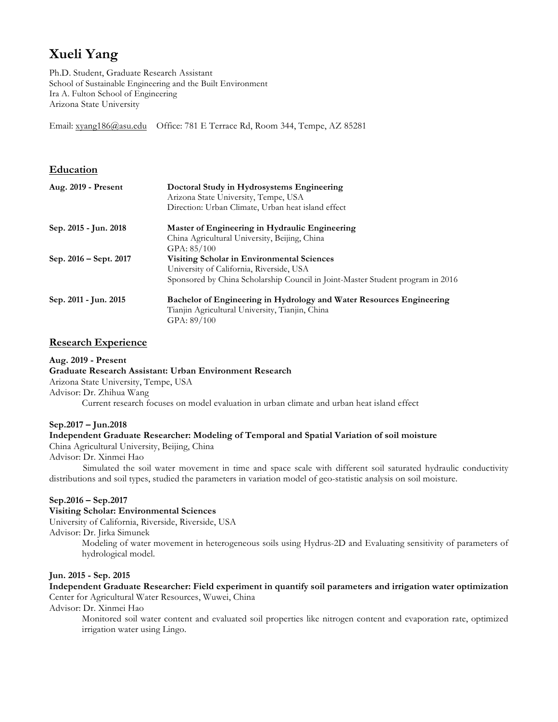# **Xueli Yang**

Ph.D. Student, Graduate Research Assistant School of Sustainable Engineering and the Built Environment Ira A. Fulton School of Engineering Arizona State University

Email: xyang186@asu.edu Office: 781 E Terrace Rd, Room 344, Tempe, AZ 85281

## **Education**

| Aug. 2019 - Present    | Doctoral Study in Hydrosystems Engineering<br>Arizona State University, Tempe, USA<br>Direction: Urban Climate, Urban heat island effect |
|------------------------|------------------------------------------------------------------------------------------------------------------------------------------|
| Sep. 2015 - Jun. 2018  | Master of Engineering in Hydraulic Engineering                                                                                           |
|                        | China Agricultural University, Beijing, China                                                                                            |
|                        | GPA: 85/100                                                                                                                              |
| Sep. 2016 – Sept. 2017 | <b>Visiting Scholar in Environmental Sciences</b>                                                                                        |
|                        | University of California, Riverside, USA                                                                                                 |
|                        | Sponsored by China Scholarship Council in Joint-Master Student program in 2016                                                           |
| Sep. 2011 - Jun. 2015  | Bachelor of Engineering in Hydrology and Water Resources Engineering                                                                     |
|                        | Tianjin Agricultural University, Tianjin, China                                                                                          |
|                        | GPA: 89/100                                                                                                                              |

## **Research Experience**

**Aug. 2019 - Present Graduate Research Assistant: Urban Environment Research** Arizona State University, Tempe, USA Advisor: Dr. Zhihua Wang Current research focuses on model evaluation in urban climate and urban heat island effect

#### **Sep.2017 – Jun.2018**

## **Independent Graduate Researcher: Modeling of Temporal and Spatial Variation of soil moisture**

China Agricultural University, Beijing, China

Advisor: Dr. Xinmei Hao

Simulated the soil water movement in time and space scale with different soil saturated hydraulic conductivity distributions and soil types, studied the parameters in variation model of geo-statistic analysis on soil moisture.

#### **Sep.2016 – Sep.2017**

**Visiting Scholar: Environmental Sciences**

University of California, Riverside, Riverside, USA

Advisor: Dr. Jirka Simunek

Modeling of water movement in heterogeneous soils using Hydrus-2D and Evaluating sensitivity of parameters of hydrological model.

#### **Jun. 2015 - Sep. 2015**

**Independent Graduate Researcher: Field experiment in quantify soil parameters and irrigation water optimization** Center for Agricultural Water Resources, Wuwei, China

Advisor: Dr. Xinmei Hao

Monitored soil water content and evaluated soil properties like nitrogen content and evaporation rate, optimized irrigation water using Lingo.